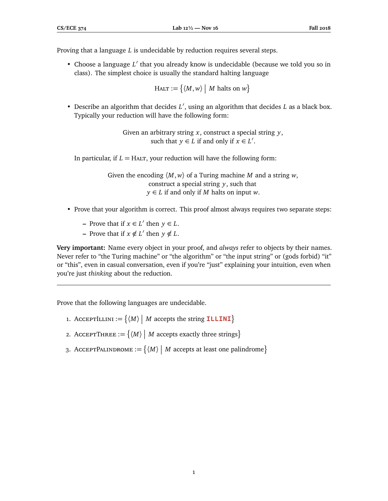Proving that a language *L* is undecidable by reduction requires several steps.

• Choose a language L' that you already know is undecidable (because we told you so in class). The simplest choice is usually the standard halting language

 $H$ ALT :=  $\{(M, w) \mid M \text{ halts on } w\}$ 

• Describe an algorithm that decides *L'*, using an algorithm that decides *L* as a black box. Typically your reduction will have the following form:

> Given an arbitrary string *x*, construct a special string *y*, such that  $y \in L$  if and only if  $x \in L'$ .

In particular, if  $L = H<sub>ALT</sub>$ , your reduction will have the following form:

Given the encoding 〈*M*, *w*〉 of a Turing machine *M* and a string *w*, construct a special string *y*, such that *y* ∈ *L* if and only if *M* halts on input *w*.

- Prove that your algorithm is correct. This proof almost always requires two separate steps:
	- **−** Prove that if  $x \in L'$  then  $y \in L$ .
	- **−** Prove that if  $x \notin L'$  then  $y \notin L$ .

**Very important:** Name every object in your proof, and *always* refer to objects by their names. Never refer to "the Turing machine" or "the algorithm" or "the input string" or (gods forbid) "it" or "this", even in casual conversation, even if you're "just" explaining your intuition, even when you're just *thinking* about the reduction.

Prove that the following languages are undecidable.

- 1. AcceptILLINI :=  $\{ \langle M \rangle \mid M \text{ accepts the string **ILLINI} \}**$
- 2. AcceptThree  $:= \{ \langle M \rangle \mid M \text{ accepts exactly three strings} \}$
- 3. AcceptPalINDROME :=  $\{M \mid M \text{ accepts at least one palindrome}\}$